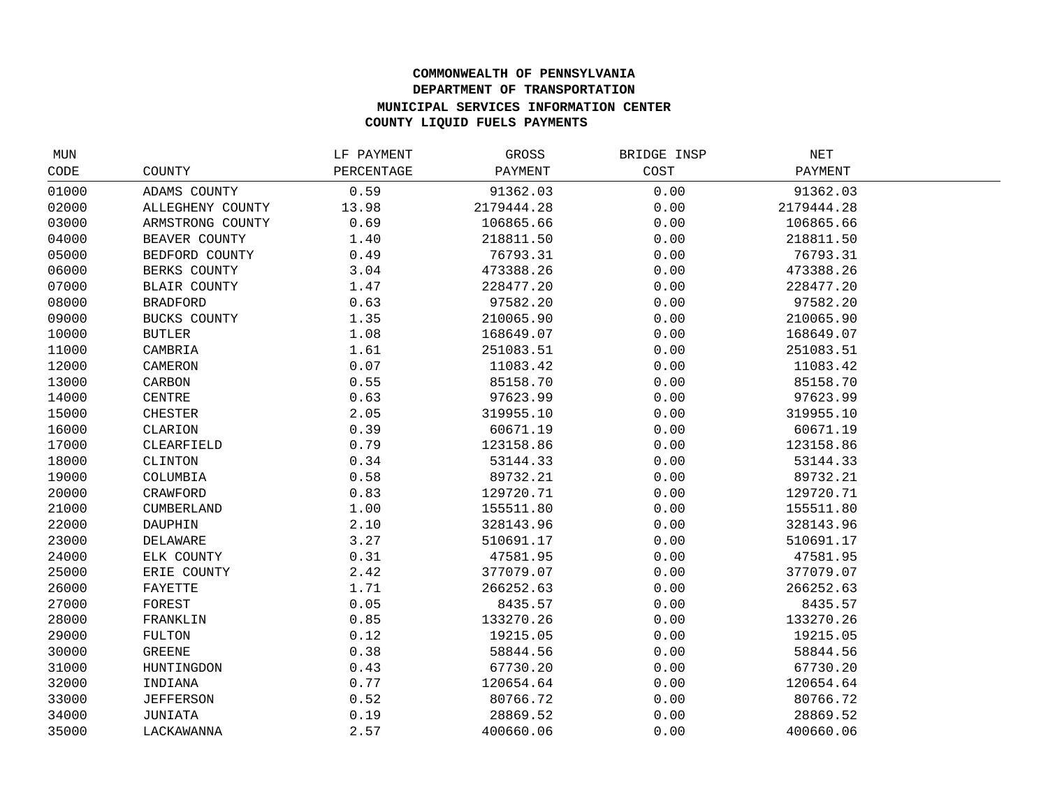## **COMMONWEALTH OF PENNSYLVANIA DEPARTMENT OF TRANSPORTATION MUNICIPAL SERVICES INFORMATION CENTER COUNTY LIQUID FUELS PAYMENTS**

| MUN   |                     | LF PAYMENT | GROSS      | BRIDGE INSP | NET        |  |
|-------|---------------------|------------|------------|-------------|------------|--|
| CODE  | COUNTY              | PERCENTAGE | PAYMENT    | COST        | PAYMENT    |  |
| 01000 | ADAMS COUNTY        | 0.59       | 91362.03   | 0.00        | 91362.03   |  |
| 02000 | ALLEGHENY COUNTY    | 13.98      | 2179444.28 | 0.00        | 2179444.28 |  |
| 03000 | ARMSTRONG COUNTY    | 0.69       | 106865.66  | 0.00        | 106865.66  |  |
| 04000 | BEAVER COUNTY       | 1.40       | 218811.50  | 0.00        | 218811.50  |  |
| 05000 | BEDFORD COUNTY      | 0.49       | 76793.31   | 0.00        | 76793.31   |  |
| 06000 | BERKS COUNTY        | 3.04       | 473388.26  | 0.00        | 473388.26  |  |
| 07000 | <b>BLAIR COUNTY</b> | 1.47       | 228477.20  | 0.00        | 228477.20  |  |
| 08000 | <b>BRADFORD</b>     | 0.63       | 97582.20   | 0.00        | 97582.20   |  |
| 09000 | BUCKS COUNTY        | 1.35       | 210065.90  | 0.00        | 210065.90  |  |
| 10000 | <b>BUTLER</b>       | 1.08       | 168649.07  | 0.00        | 168649.07  |  |
| 11000 | CAMBRIA             | 1.61       | 251083.51  | 0.00        | 251083.51  |  |
| 12000 | CAMERON             | 0.07       | 11083.42   | 0.00        | 11083.42   |  |
| 13000 | CARBON              | 0.55       | 85158.70   | 0.00        | 85158.70   |  |
| 14000 | CENTRE              | 0.63       | 97623.99   | 0.00        | 97623.99   |  |
| 15000 | <b>CHESTER</b>      | 2.05       | 319955.10  | 0.00        | 319955.10  |  |
| 16000 | CLARION             | 0.39       | 60671.19   | 0.00        | 60671.19   |  |
| 17000 | CLEARFIELD          | 0.79       | 123158.86  | 0.00        | 123158.86  |  |
| 18000 | CLINTON             | 0.34       | 53144.33   | 0.00        | 53144.33   |  |
| 19000 | COLUMBIA            | 0.58       | 89732.21   | 0.00        | 89732.21   |  |
| 20000 | CRAWFORD            | 0.83       | 129720.71  | 0.00        | 129720.71  |  |
| 21000 | CUMBERLAND          | 1.00       | 155511.80  | 0.00        | 155511.80  |  |
| 22000 | DAUPHIN             | 2.10       | 328143.96  | 0.00        | 328143.96  |  |
| 23000 | DELAWARE            | 3.27       | 510691.17  | 0.00        | 510691.17  |  |
| 24000 | ELK COUNTY          | 0.31       | 47581.95   | 0.00        | 47581.95   |  |
| 25000 | ERIE COUNTY         | 2.42       | 377079.07  | 0.00        | 377079.07  |  |
| 26000 | FAYETTE             | 1.71       | 266252.63  | 0.00        | 266252.63  |  |
| 27000 | FOREST              | 0.05       | 8435.57    | 0.00        | 8435.57    |  |
| 28000 | FRANKLIN            | 0.85       | 133270.26  | 0.00        | 133270.26  |  |
| 29000 | FULTON              | 0.12       | 19215.05   | 0.00        | 19215.05   |  |
| 30000 | <b>GREENE</b>       | 0.38       | 58844.56   | 0.00        | 58844.56   |  |
| 31000 | HUNTINGDON          | 0.43       | 67730.20   | 0.00        | 67730.20   |  |
| 32000 | INDIANA             | 0.77       | 120654.64  | 0.00        | 120654.64  |  |
| 33000 | <b>JEFFERSON</b>    | 0.52       | 80766.72   | 0.00        | 80766.72   |  |
| 34000 | JUNIATA             | 0.19       | 28869.52   | 0.00        | 28869.52   |  |
| 35000 | LACKAWANNA          | 2.57       | 400660.06  | 0.00        | 400660.06  |  |